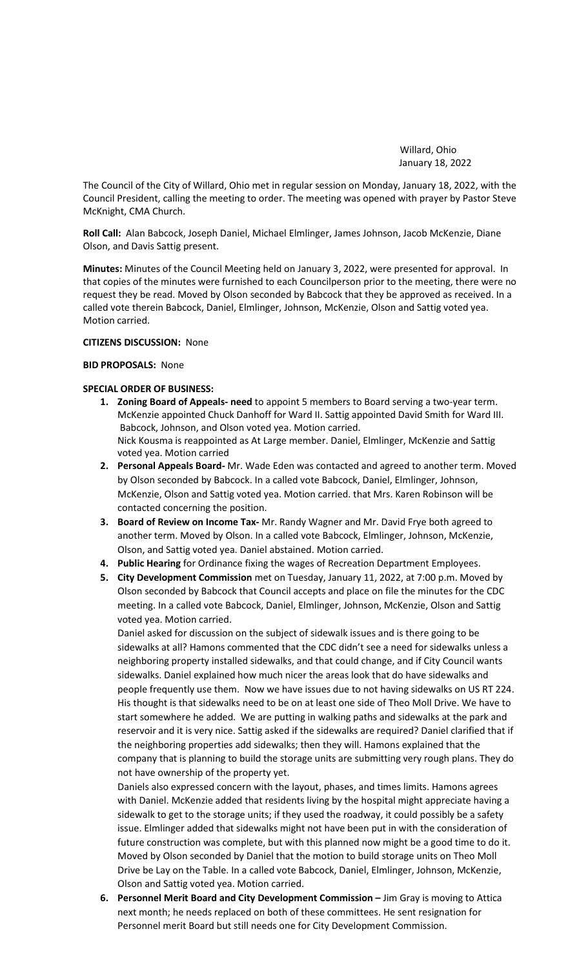Willard, Ohio January 18, 2022

The Council of the City of Willard, Ohio met in regular session on Monday, January 18, 2022, with the Council President, calling the meeting to order. The meeting was opened with prayer by Pastor Steve McKnight, CMA Church.

**Roll Call:** Alan Babcock, Joseph Daniel, Michael Elmlinger, James Johnson, Jacob McKenzie, Diane Olson, and Davis Sattig present.

**Minutes:** Minutes of the Council Meeting held on January 3, 2022, were presented for approval. In that copies of the minutes were furnished to each Councilperson prior to the meeting, there were no request they be read. Moved by Olson seconded by Babcock that they be approved as received. In a called vote therein Babcock, Daniel, Elmlinger, Johnson, McKenzie, Olson and Sattig voted yea. Motion carried.

#### **CITIZENS DISCUSSION:** None

## **BID PROPOSALS:** None

# **SPECIAL ORDER OF BUSINESS:**

- **1. Zoning Board of Appeals- need** to appoint 5 members to Board serving a two-year term. McKenzie appointed Chuck Danhoff for Ward II. Sattig appointed David Smith for Ward III. Babcock, Johnson, and Olson voted yea. Motion carried. Nick Kousma is reappointed as At Large member. Daniel, Elmlinger, McKenzie and Sattig voted yea. Motion carried
- **2. Personal Appeals Board-** Mr. Wade Eden was contacted and agreed to another term. Moved by Olson seconded by Babcock. In a called vote Babcock, Daniel, Elmlinger, Johnson, McKenzie, Olson and Sattig voted yea. Motion carried. that Mrs. Karen Robinson will be contacted concerning the position.
- **3. Board of Review on Income Tax-** Mr. Randy Wagner and Mr. David Frye both agreed to another term. Moved by Olson. In a called vote Babcock, Elmlinger, Johnson, McKenzie, Olson, and Sattig voted yea. Daniel abstained. Motion carried.
- **4. Public Hearing** for Ordinance fixing the wages of Recreation Department Employees.
- **5. City Development Commission** met on Tuesday, January 11, 2022, at 7:00 p.m. Moved by Olson seconded by Babcock that Council accepts and place on file the minutes for the CDC meeting. In a called vote Babcock, Daniel, Elmlinger, Johnson, McKenzie, Olson and Sattig voted yea. Motion carried.

Daniel asked for discussion on the subject of sidewalk issues and is there going to be sidewalks at all? Hamons commented that the CDC didn't see a need for sidewalks unless a neighboring property installed sidewalks, and that could change, and if City Council wants sidewalks. Daniel explained how much nicer the areas look that do have sidewalks and people frequently use them. Now we have issues due to not having sidewalks on US RT 224. His thought is that sidewalks need to be on at least one side of Theo Moll Drive. We have to start somewhere he added. We are putting in walking paths and sidewalks at the park and reservoir and it is very nice. Sattig asked if the sidewalks are required? Daniel clarified that if the neighboring properties add sidewalks; then they will. Hamons explained that the company that is planning to build the storage units are submitting very rough plans. They do not have ownership of the property yet.

Daniels also expressed concern with the layout, phases, and times limits. Hamons agrees with Daniel. McKenzie added that residents living by the hospital might appreciate having a sidewalk to get to the storage units; if they used the roadway, it could possibly be a safety issue. Elmlinger added that sidewalks might not have been put in with the consideration of future construction was complete, but with this planned now might be a good time to do it. Moved by Olson seconded by Daniel that the motion to build storage units on Theo Moll Drive be Lay on the Table. In a called vote Babcock, Daniel, Elmlinger, Johnson, McKenzie, Olson and Sattig voted yea. Motion carried.

**6. Personnel Merit Board and City Development Commission –** Jim Gray is moving to Attica next month; he needs replaced on both of these committees. He sent resignation for Personnel merit Board but still needs one for City Development Commission.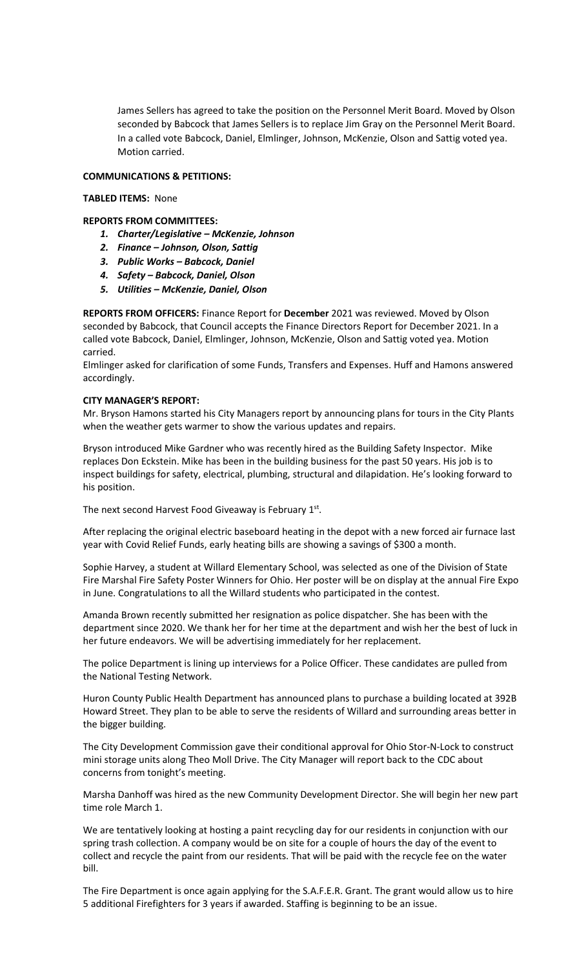James Sellers has agreed to take the position on the Personnel Merit Board. Moved by Olson seconded by Babcock that James Sellers is to replace Jim Gray on the Personnel Merit Board. In a called vote Babcock, Daniel, Elmlinger, Johnson, McKenzie, Olson and Sattig voted yea. Motion carried.

## **COMMUNICATIONS & PETITIONS:**

## **TABLED ITEMS:** None

**REPORTS FROM COMMITTEES:** 

- *1. Charter/Legislative – McKenzie, Johnson*
- *2. Finance – Johnson, Olson, Sattig*
- *3. Public Works – Babcock, Daniel*
- *4. Safety – Babcock, Daniel, Olson*
- *5. Utilities – McKenzie, Daniel, Olson*

**REPORTS FROM OFFICERS:** Finance Report for **December** 2021 was reviewed. Moved by Olson seconded by Babcock, that Council accepts the Finance Directors Report for December 2021. In a called vote Babcock, Daniel, Elmlinger, Johnson, McKenzie, Olson and Sattig voted yea. Motion carried.

Elmlinger asked for clarification of some Funds, Transfers and Expenses. Huff and Hamons answered accordingly.

#### **CITY MANAGER'S REPORT:**

Mr. Bryson Hamons started his City Managers report by announcing plans for tours in the City Plants when the weather gets warmer to show the various updates and repairs.

Bryson introduced Mike Gardner who was recently hired as the Building Safety Inspector. Mike replaces Don Eckstein. Mike has been in the building business for the past 50 years. His job is to inspect buildings for safety, electrical, plumbing, structural and dilapidation. He's looking forward to his position.

The next second Harvest Food Giveaway is February 1st.

After replacing the original electric baseboard heating in the depot with a new forced air furnace last year with Covid Relief Funds, early heating bills are showing a savings of \$300 a month.

Sophie Harvey, a student at Willard Elementary School, was selected as one of the Division of State Fire Marshal Fire Safety Poster Winners for Ohio. Her poster will be on display at the annual Fire Expo in June. Congratulations to all the Willard students who participated in the contest.

Amanda Brown recently submitted her resignation as police dispatcher. She has been with the department since 2020. We thank her for her time at the department and wish her the best of luck in her future endeavors. We will be advertising immediately for her replacement.

The police Department is lining up interviews for a Police Officer. These candidates are pulled from the National Testing Network.

Huron County Public Health Department has announced plans to purchase a building located at 392B Howard Street. They plan to be able to serve the residents of Willard and surrounding areas better in the bigger building.

The City Development Commission gave their conditional approval for Ohio Stor-N-Lock to construct mini storage units along Theo Moll Drive. The City Manager will report back to the CDC about concerns from tonight's meeting.

Marsha Danhoff was hired as the new Community Development Director. She will begin her new part time role March 1.

We are tentatively looking at hosting a paint recycling day for our residents in conjunction with our spring trash collection. A company would be on site for a couple of hours the day of the event to collect and recycle the paint from our residents. That will be paid with the recycle fee on the water bill.

The Fire Department is once again applying for the S.A.F.E.R. Grant. The grant would allow us to hire 5 additional Firefighters for 3 years if awarded. Staffing is beginning to be an issue.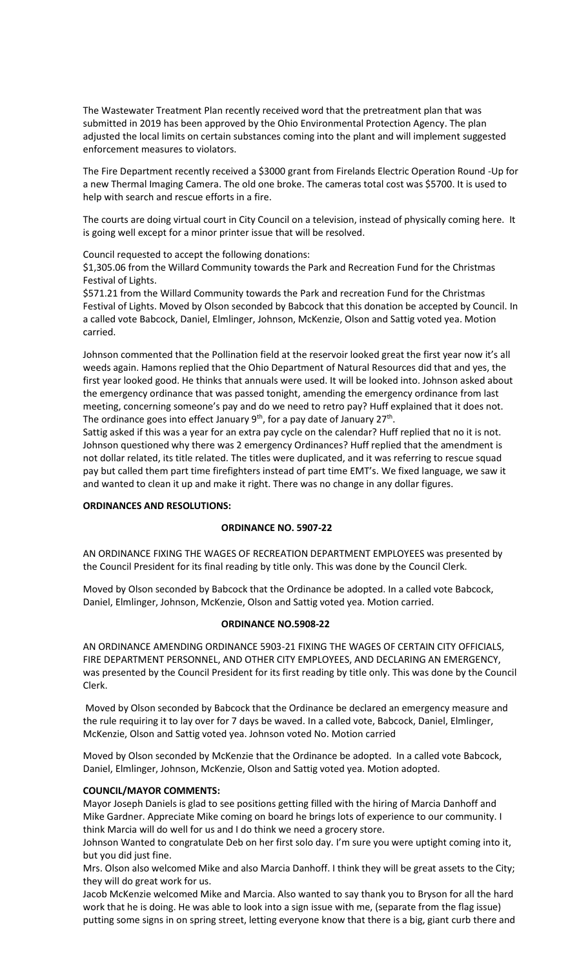The Wastewater Treatment Plan recently received word that the pretreatment plan that was submitted in 2019 has been approved by the Ohio Environmental Protection Agency. The plan adjusted the local limits on certain substances coming into the plant and will implement suggested enforcement measures to violators.

The Fire Department recently received a \$3000 grant from Firelands Electric Operation Round -Up for a new Thermal Imaging Camera. The old one broke. The cameras total cost was \$5700. It is used to help with search and rescue efforts in a fire.

The courts are doing virtual court in City Council on a television, instead of physically coming here. It is going well except for a minor printer issue that will be resolved.

Council requested to accept the following donations:

\$1,305.06 from the Willard Community towards the Park and Recreation Fund for the Christmas Festival of Lights.

\$571.21 from the Willard Community towards the Park and recreation Fund for the Christmas Festival of Lights. Moved by Olson seconded by Babcock that this donation be accepted by Council. In a called vote Babcock, Daniel, Elmlinger, Johnson, McKenzie, Olson and Sattig voted yea. Motion carried.

Johnson commented that the Pollination field at the reservoir looked great the first year now it's all weeds again. Hamons replied that the Ohio Department of Natural Resources did that and yes, the first year looked good. He thinks that annuals were used. It will be looked into. Johnson asked about the emergency ordinance that was passed tonight, amending the emergency ordinance from last meeting, concerning someone's pay and do we need to retro pay? Huff explained that it does not. The ordinance goes into effect January 9<sup>th</sup>, for a pay date of January 27<sup>th</sup>.

Sattig asked if this was a year for an extra pay cycle on the calendar? Huff replied that no it is not. Johnson questioned why there was 2 emergency Ordinances? Huff replied that the amendment is not dollar related, its title related. The titles were duplicated, and it was referring to rescue squad pay but called them part time firefighters instead of part time EMT's. We fixed language, we saw it and wanted to clean it up and make it right. There was no change in any dollar figures.

# **ORDINANCES AND RESOLUTIONS:**

# **ORDINANCE NO. 5907-22**

AN ORDINANCE FIXING THE WAGES OF RECREATION DEPARTMENT EMPLOYEES was presented by the Council President for its final reading by title only. This was done by the Council Clerk.

Moved by Olson seconded by Babcock that the Ordinance be adopted. In a called vote Babcock, Daniel, Elmlinger, Johnson, McKenzie, Olson and Sattig voted yea. Motion carried.

# **ORDINANCE NO.5908-22**

AN ORDINANCE AMENDING ORDINANCE 5903-21 FIXING THE WAGES OF CERTAIN CITY OFFICIALS, FIRE DEPARTMENT PERSONNEL, AND OTHER CITY EMPLOYEES, AND DECLARING AN EMERGENCY, was presented by the Council President for its first reading by title only. This was done by the Council Clerk.

Moved by Olson seconded by Babcock that the Ordinance be declared an emergency measure and the rule requiring it to lay over for 7 days be waved. In a called vote, Babcock, Daniel, Elmlinger, McKenzie, Olson and Sattig voted yea. Johnson voted No. Motion carried

Moved by Olson seconded by McKenzie that the Ordinance be adopted. In a called vote Babcock, Daniel, Elmlinger, Johnson, McKenzie, Olson and Sattig voted yea. Motion adopted.

# **COUNCIL/MAYOR COMMENTS:**

Mayor Joseph Daniels is glad to see positions getting filled with the hiring of Marcia Danhoff and Mike Gardner. Appreciate Mike coming on board he brings lots of experience to our community. I think Marcia will do well for us and I do think we need a grocery store.

Johnson Wanted to congratulate Deb on her first solo day. I'm sure you were uptight coming into it, but you did just fine.

Mrs. Olson also welcomed Mike and also Marcia Danhoff. I think they will be great assets to the City; they will do great work for us.

Jacob McKenzie welcomed Mike and Marcia. Also wanted to say thank you to Bryson for all the hard work that he is doing. He was able to look into a sign issue with me, (separate from the flag issue) putting some signs in on spring street, letting everyone know that there is a big, giant curb there and